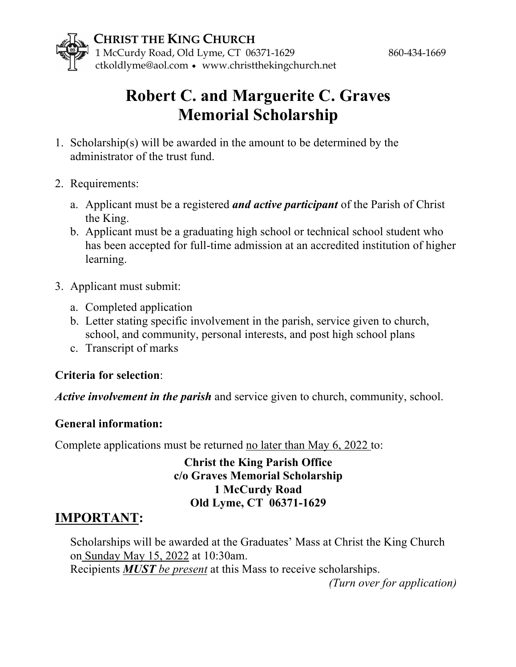



# **Robert C. and Marguerite C. Graves Memorial Scholarship**

- 1. Scholarship(s) will be awarded in the amount to be determined by the administrator of the trust fund.
- 2. Requirements:
	- a. Applicant must be a registered *and active participant* of the Parish of Christ the King.
	- b. Applicant must be a graduating high school or technical school student who has been accepted for full-time admission at an accredited institution of higher learning.
- 3. Applicant must submit:
	- a. Completed application
	- b. Letter stating specific involvement in the parish, service given to church, school, and community, personal interests, and post high school plans
	- c. Transcript of marks

#### **Criteria for selection**:

*Active involvement in the parish* and service given to church, community, school.

#### **General information:**

Complete applications must be returned no later than May 6, 2022 to:

#### **Christ the King Parish Office c/o Graves Memorial Scholarship 1 McCurdy Road Old Lyme, CT 06371-1629**

### **IMPORTANT:**

Scholarships will be awarded at the Graduates' Mass at Christ the King Church on Sunday May 15, 2022 at 10:30am. Recipients *MUST be present* at this Mass to receive scholarships.

*(Turn over for application)*